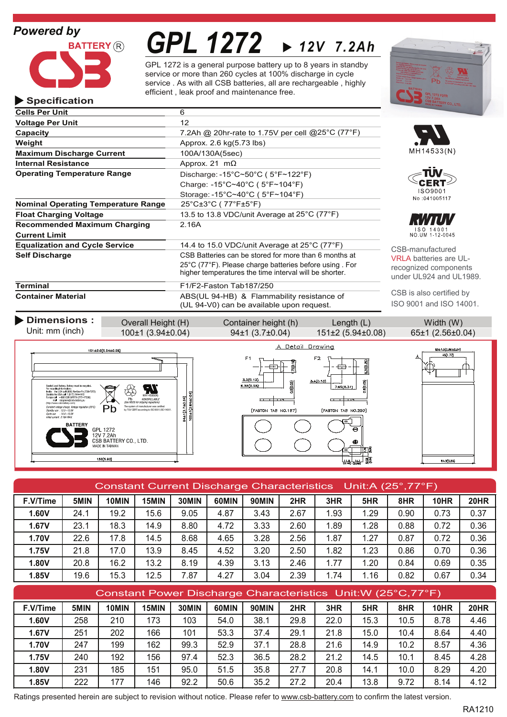# *Powered by*

**Specification**



**Operating Temperature Range**

**Equalization and Cycle Service** 

**Float Charging Voltage**

**Current Limit**

**Nominal Operating Temperature Range**

**Recommended Maximum Charging** 2.16A

**Cells Per Unit** 6 **Voltage Per Unit** 12

**Weight Approx.** 2.6 kg(5.73 lbs) **Maximum Discharge Current** 100A/130A(5sec) **Internal Resistance** Approx. 21 mΩ

**Terminal** F1/F2-Faston Tab187/250

# *GPL 1272 12V 7.2Ah*

GPL 1272 is a general purpose battery up to 8 years in standby service or more than 260 cycles at 100% discharge in cycle service . As with all CSB batteries, all are rechargeable , highly efficient , leak proof and maintenance free.

> Discharge: -15°C~50°C ( 5°F~122°F) Charge: -15°C~40°C ( 5°F~104°F) Storage: -15°C~40°C ( 5°F~104°F)

25°C±3°C ( 77°F±5°F)

**Capacity Capacity** *Capacity Capacity Capacity Capacity Capacity CODEC <b><i>CT*<sup>6</sup>F) *CAP***<sub>6</sub>C** *CT***<sup>6</sup>F)** *CODEC <b><i>CT*<sup>6</sup>F) *CODEC <b><i>CT*<sup>6</sup>F) *CODEC <b><i>CT*<sup>6</sup>F) *CODEC <b><i>CT*<sup>6</sup>F) *C* 

**Self Discharge CSB** Batteries can be stored for more than 6 months at

**Container Material** ABS(UL 94-HB) & Flammability resistance of









CSB-manufactured VRLA batteries are ULrecognized components under UL924 and UL1989.

CSB is also certified by ISO 9001 and ISO 14001.



25°C (77°F). Please charge batteries before using . For higher temperatures the time interval will be shorter.

13.5 to 13.8 VDC/unit Average at 25°C (77°F)

14.4 to 15.0 VDC/unit Average at 25°C (77°F)

| Constant Current Discharge Characteristics Unit:A (25°,77°F) |      |       |       |       |       |       |      |      |      |      |      |             |
|--------------------------------------------------------------|------|-------|-------|-------|-------|-------|------|------|------|------|------|-------------|
| F.V/Time                                                     | 5MIN | 10MIN | 15MIN | 30MIN | 60MIN | 90MIN | 2HR  | 3HR  | 5HR  | 8HR  | 10HR | <b>20HR</b> |
| 1.60V                                                        | 24.1 | 19.2  | 15.6  | 9.05  | 4.87  | 3.43  | 2.67 | 1.93 | .29  | 0.90 | 0.73 | 0.37        |
| 1.67V                                                        | 23.1 | 18.3  | 14.9  | 8.80  | 4.72  | 3.33  | 2.60 | 1.89 | 1.28 | 0.88 | 0.72 | 0.36        |
| <b>1.70V</b>                                                 | 22.6 | 17.8  | 14.5  | 8.68  | 4.65  | 3.28  | 2.56 | 1.87 | 1.27 | 0.87 | 0.72 | 0.36        |
| 1.75V                                                        | 21.8 | 17.0  | 13.9  | 8.45  | 4.52  | 3.20  | 2.50 | 1.82 | 1.23 | 0.86 | 0.70 | 0.36        |
| 1.80V                                                        | 20.8 | 16.2  | 13.2  | 8.19  | 4.39  | 3.13  | 2.46 | 1.77 | .20  | 0.84 | 0.69 | 0.35        |
| 1.85V                                                        | 19.6 | 15.3  | 12.5  | 7.87  | 4.27  | 3.04  | 2.39 | 1.74 | 1.16 | 0.82 | 0.67 | 0.34        |

| Constant Power Discharge Characteristics Unit: W (25°C, 77°F) |      |       |       |       |       |              |      |      |      |      |             |      |
|---------------------------------------------------------------|------|-------|-------|-------|-------|--------------|------|------|------|------|-------------|------|
| F.V/Time                                                      | 5MIN | 10MIN | 15MIN | 30MIN | 60MIN | <b>90MIN</b> | 2HR  | 3HR  | 5HR  | 8HR  | <b>10HR</b> | 20HR |
| 1.60V                                                         | 258  | 210   | 173   | 103   | 54.0  | 38.1         | 29.8 | 22.0 | 15.3 | 10.5 | 8.78        | 4.46 |
| 1.67V                                                         | 251  | 202   | 166   | 101   | 53.3  | 37.4         | 29.1 | 21.8 | 15.0 | 10.4 | 8.64        | 4.40 |
| <b>1.70V</b>                                                  | 247  | 199   | 162   | 99.3  | 52.9  | 37.1         | 28.8 | 21.6 | 14.9 | 10.2 | 8.57        | 4.36 |
| 1.75V                                                         | 240  | 192   | 156   | 97.4  | 52.3  | 36.5         | 28.2 | 21.2 | 14.5 | 10.1 | 8.45        | 4.28 |
| 1.80V                                                         | 231  | 185   | 151   | 95.0  | 51.5  | 35.8         | 27.7 | 20.8 | 14.1 | 10.0 | 8.29        | 4.20 |
| 1.85V                                                         | 222  | 177   | 146   | 92.2  | 50.6  | 35.2         | 27.2 | 20.4 | 13.8 | 9.72 | 8.14        | 4.12 |

Ratings presented herein are subject to revision without notice. Please refer to www.csb-battery.com to confirm the latest version.